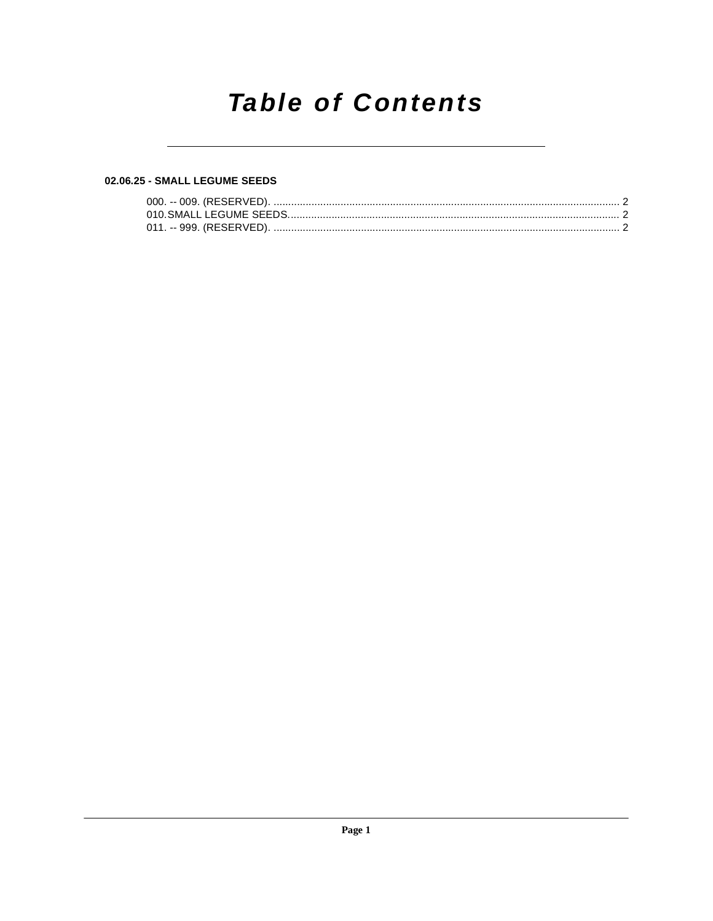# **Table of Contents**

#### 02.06.25 - SMALL LEGUME SEEDS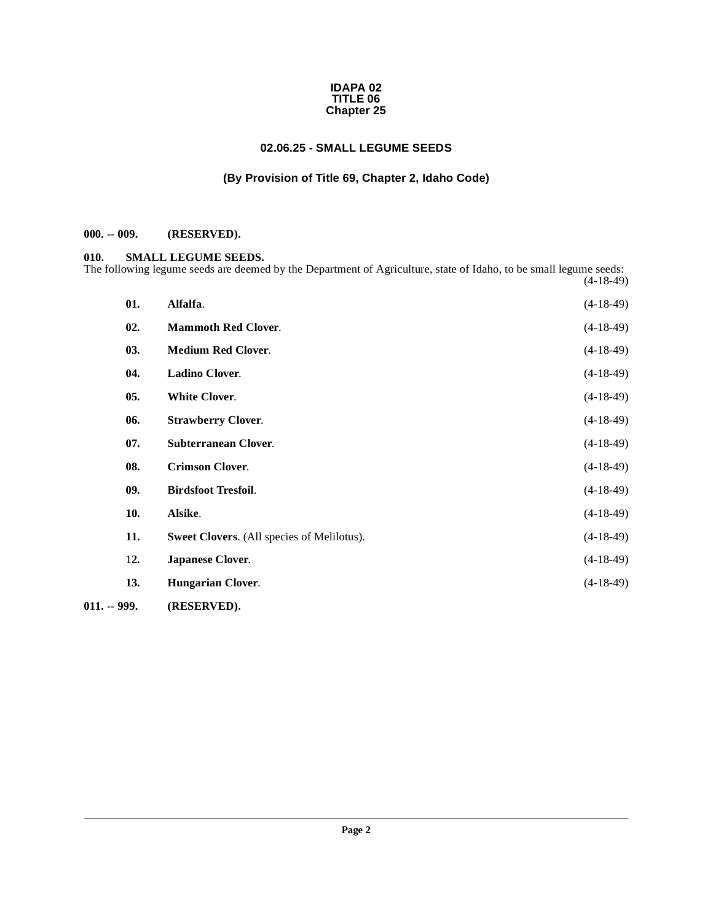#### **IDAPA 02 TITLE 06 Chapter 25**

## **02.06.25 - SMALL LEGUME SEEDS**

#### **(By Provision of Title 69, Chapter 2, Idaho Code)**

## <span id="page-1-1"></span><span id="page-1-0"></span>**000. -- 009. (RESERVED).**

#### <span id="page-1-13"></span><span id="page-1-2"></span>**010. SMALL LEGUME SEEDS.**

The following legume seeds are deemed by the Department of Agriculture, state of Idaho, to be small legume seeds: (4-18-49)

<span id="page-1-17"></span><span id="page-1-16"></span><span id="page-1-15"></span><span id="page-1-14"></span><span id="page-1-12"></span><span id="page-1-11"></span><span id="page-1-10"></span><span id="page-1-9"></span><span id="page-1-8"></span><span id="page-1-7"></span><span id="page-1-6"></span><span id="page-1-5"></span><span id="page-1-4"></span><span id="page-1-3"></span>

| 02.<br><b>Mammoth Red Clover.</b><br>$(4-18-49)$<br>03.<br><b>Medium Red Clover.</b><br>$(4-18-49)$<br><b>Ladino Clover.</b><br>04.<br>$(4-18-49)$<br>05.<br><b>White Clover.</b><br>$(4-18-49)$<br>06.<br><b>Strawberry Clover.</b><br>$(4-18-49)$<br><b>Subterranean Clover.</b><br>07.<br>$(4-18-49)$<br>08.<br><b>Crimson Clover.</b><br>$(4-18-49)$<br>09.<br><b>Birdsfoot Tresfoil.</b><br>$(4-18-49)$<br>10.<br>Alsike.<br>$(4-18-49)$<br>11.<br>$(4-18-49)$<br>Sweet Clovers. (All species of Melilotus).<br>12.<br><b>Japanese Clover.</b><br>$(4-18-49)$<br>$(4-18-49)$<br>13.<br><b>Hungarian Clover.</b> | 01.           | Alfalfa. | $(4-18-49)$ |
|----------------------------------------------------------------------------------------------------------------------------------------------------------------------------------------------------------------------------------------------------------------------------------------------------------------------------------------------------------------------------------------------------------------------------------------------------------------------------------------------------------------------------------------------------------------------------------------------------------------------|---------------|----------|-------------|
|                                                                                                                                                                                                                                                                                                                                                                                                                                                                                                                                                                                                                      |               |          |             |
|                                                                                                                                                                                                                                                                                                                                                                                                                                                                                                                                                                                                                      |               |          |             |
|                                                                                                                                                                                                                                                                                                                                                                                                                                                                                                                                                                                                                      |               |          |             |
|                                                                                                                                                                                                                                                                                                                                                                                                                                                                                                                                                                                                                      |               |          |             |
|                                                                                                                                                                                                                                                                                                                                                                                                                                                                                                                                                                                                                      |               |          |             |
|                                                                                                                                                                                                                                                                                                                                                                                                                                                                                                                                                                                                                      |               |          |             |
|                                                                                                                                                                                                                                                                                                                                                                                                                                                                                                                                                                                                                      |               |          |             |
|                                                                                                                                                                                                                                                                                                                                                                                                                                                                                                                                                                                                                      |               |          |             |
|                                                                                                                                                                                                                                                                                                                                                                                                                                                                                                                                                                                                                      |               |          |             |
|                                                                                                                                                                                                                                                                                                                                                                                                                                                                                                                                                                                                                      |               |          |             |
|                                                                                                                                                                                                                                                                                                                                                                                                                                                                                                                                                                                                                      |               |          |             |
|                                                                                                                                                                                                                                                                                                                                                                                                                                                                                                                                                                                                                      |               |          |             |
| (RESERVED).                                                                                                                                                                                                                                                                                                                                                                                                                                                                                                                                                                                                          | $011. - 999.$ |          |             |